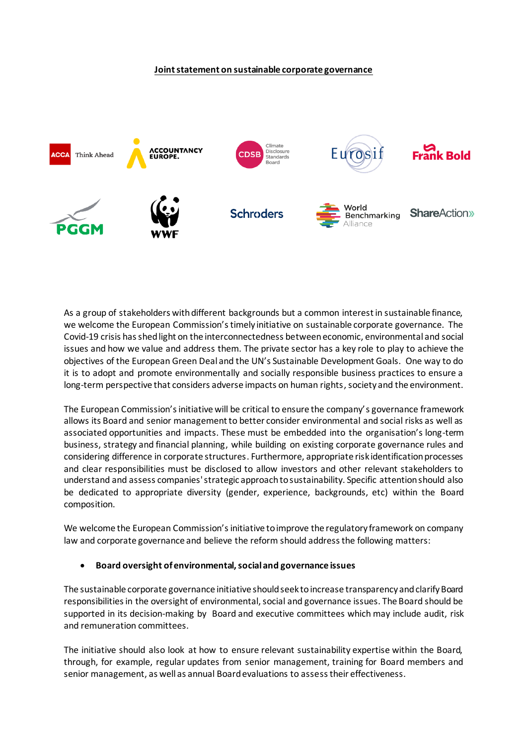#### **Joint statement on sustainable corporate governance**



As a group of stakeholders with different backgrounds but a common interest in sustainable finance, we welcome the European Commission's timely initiative on sustainable corporate governance. The Covid-19 crisis has shed light on the interconnectedness between economic, environmental and social issues and how we value and address them. The private sector has a key role to play to achieve the objectives of the European Green Deal and the UN's Sustainable Development Goals. One way to do it is to adopt and promote environmentally and socially responsible business practices to ensure a long-term perspective that considers adverse impacts on human rights, society and the environment.

The European Commission's initiative will be critical to ensure the company's governance framework allows its Board and senior management to better consider environmental and social risks as well as associated opportunities and impacts. These must be embedded into the organisation's long-term business, strategy and financial planning, while building on existing corporate governance rules and considering difference in corporate structures. Furthermore, appropriate risk identification processes and clear responsibilities must be disclosed to allow investors and other relevant stakeholders to understand and assess companies' strategic approach to sustainability. Specific attention should also be dedicated to appropriate diversity (gender, experience, backgrounds, etc) within the Board composition.

We welcome the European Commission's initiative to improve the regulatory framework on company law and corporate governance and believe the reform should address the following matters:

### • **Board oversight ofenvironmental, social and governance issues**

The sustainable corporate governance initiative should seek to increase transparency and clarify Board responsibilities in the oversight of environmental, social and governance issues. The Board should be supported in its decision-making by Board and executive committees which may include audit, risk and remuneration committees.

The initiative should also look at how to ensure relevant sustainability expertise within the Board, through, for example, regular updates from senior management, training for Board members and senior management, as well as annual Board evaluations to assess their effectiveness.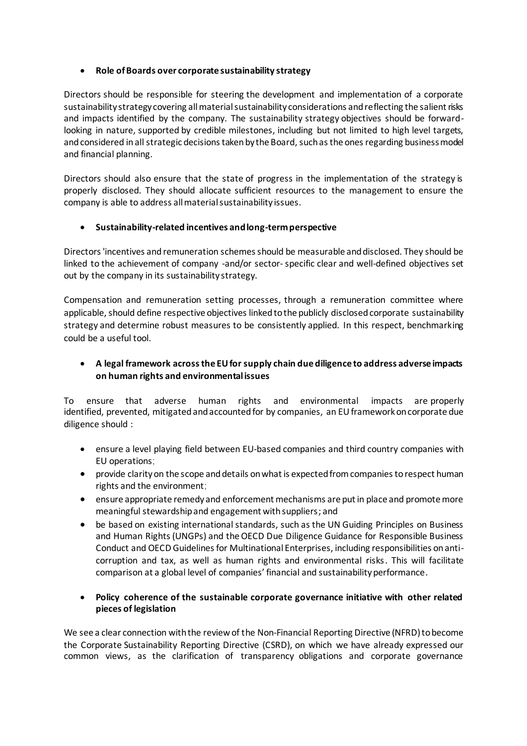### • **Role of Boards over corporate sustainability strategy**

Directors should be responsible for steering the development and implementation of a corporate sustainability strategy covering all material sustainability considerations and reflecting the salient risks and impacts identified by the company. The sustainability strategy objectives should be forwardlooking in nature, supported by credible milestones, including but not limited to high level targets, and considered in all strategic decisions taken by the Board, such asthe onesregarding business model and financial planning.

Directors should also ensure that the state of progress in the implementation of the strategy is properly disclosed. They should allocate sufficient resources to the management to ensure the company is able to address all material sustainability issues.

# • **Sustainability-related incentives and long-term perspective**

Directors 'incentives and remuneration schemes should be measurable and disclosed. They should be linked to the achievement of company -and/or sector-specific clear and well-defined objectives set out by the company in its sustainability strategy.

Compensation and remuneration setting processes, through a remuneration committee where applicable, should define respective objectives linked to the publicly disclosed corporate sustainability strategy and determine robust measures to be consistently applied. In this respect, benchmarking could be a useful tool.

# • **A legal framework across the EU for supply chain due diligence to address adverse impacts on human rights and environmental issues**

To ensure that adverse human rights and environmental impacts are properly identified, prevented, mitigated and accounted for by companies, an EU framework on corporate due diligence should :

- ensure a level playing field between EU-based companies and third country companies with EU operations;
- provide clarity on the scope and details on what is expected from companies to respect human rights and the environment;
- ensure appropriate remedy and enforcement mechanisms are put in place and promote more meaningful stewardship and engagement with suppliers; and
- be based on existing international standards, such as the UN Guiding Principles on Business and Human Rights (UNGPs) and the OECD Due Diligence Guidance for Responsible Business Conduct and OECD Guidelines for Multinational Enterprises, including responsibilities on anticorruption and tax, as well as human rights and environmental risks. This will facilitate comparison at a global level of companies' financial and sustainability performance.

# • **Policy coherence of the sustainable corporate governance initiative with other related pieces of legislation**

We see a clear connection with the review of the Non-Financial Reporting Directive (NFRD) to become the Corporate Sustainability Reporting Directive (CSRD), on which we have already expressed our common views, as the clarification of transparency obligations and corporate governance